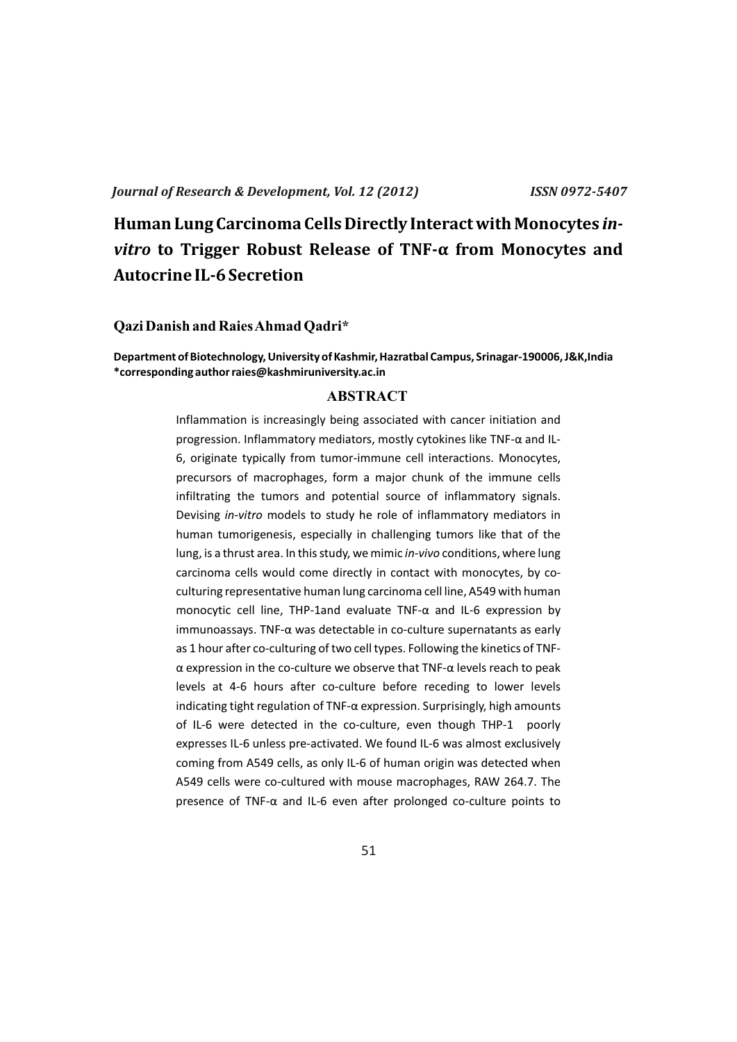# **Human Lung Carcinoma Cells Directly Interact with Monocytes** *invitro* **to Trigger Robust Release of TNF-α from Monocytes and Autocrine IL-6 Secretion**

### **Qazi Danish and Raies Ahmad Qadri\***

### **Department of Biotechnology, University of Kashmir, Hazratbal Campus, Srinagar-190006, J&K,India \*corresponding author raies@kashmiruniversity.ac.in**

### **ABSTRACT**

Inflammation is increasingly being associated with cancer initiation and progression. Inflammatory mediators, mostly cytokines like TNF-α and IL-6, originate typically from tumor-immune cell interactions. Monocytes, precursors of macrophages, form a major chunk of the immune cells infiltrating the tumors and potential source of inflammatory signals. Devising *in-vitro* models to study he role of inflammatory mediators in human tumorigenesis, especially in challenging tumors like that of the lung, is a thrust area. In this study, we mimic *in-vivo* conditions, where lung carcinoma cells would come directly in contact with monocytes, by coculturing representative human lung carcinoma cell line, A549 with human monocytic cell line, THP-1and evaluate TNF-α and IL-6 expression by immunoassays. TNF-α was detectable in co-culture supernatants as early as 1 hour after co-culturing of two cell types. Following the kinetics of TNFα expression in the co-culture we observe that TNF-α levels reach to peak levels at 4-6 hours after co-culture before receding to lower levels indicating tight regulation of TNF-α expression. Surprisingly, high amounts of IL-6 were detected in the co-culture, even though THP-1 poorly expresses IL-6 unless pre-activated. We found IL-6 was almost exclusively coming from A549 cells, as only IL-6 of human origin was detected when A549 cells were co-cultured with mouse macrophages, RAW 264.7. The presence of TNF-α and IL-6 even after prolonged co-culture points to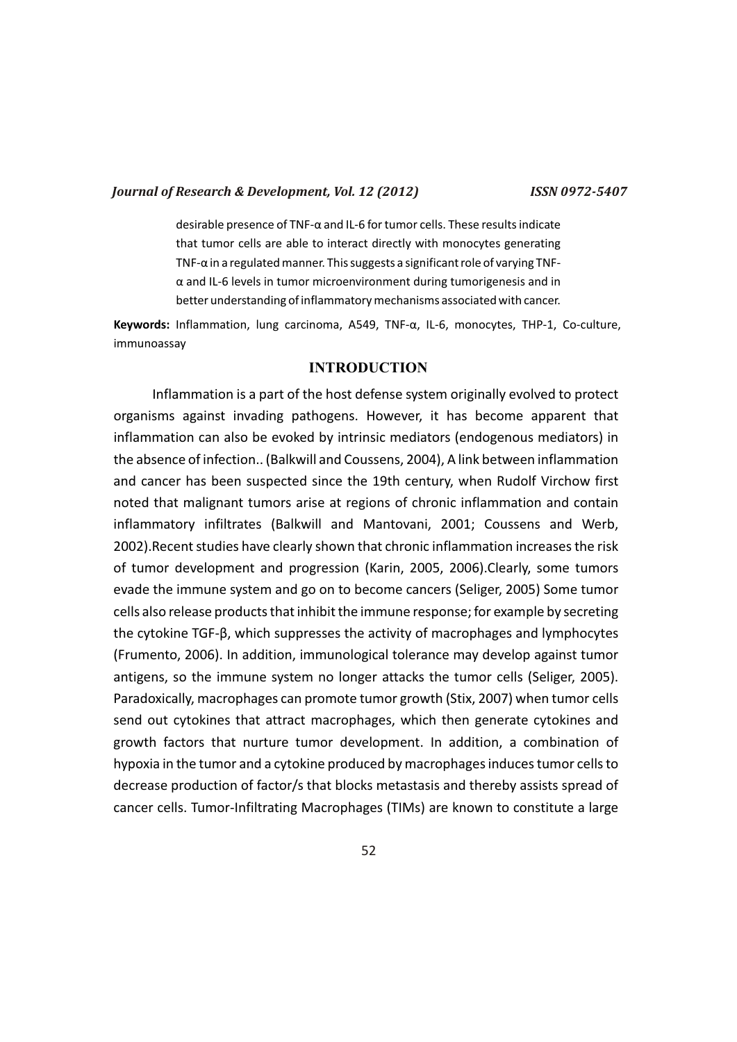desirable presence of TNF-α and IL-6 for tumor cells. These results indicate that tumor cells are able to interact directly with monocytes generating TNF-α in a regulated manner. This suggests a significant role of varying TNFα and IL-6 levels in tumor microenvironment during tumorigenesis and in better understanding of inflammatory mechanisms associated with cancer.

**Keywords:** Inflammation, lung carcinoma, A549, TNF-α, IL-6, monocytes, THP-1, Co-culture, immunoassay

### **INTRODUCTION**

Inflammation is a part of the host defense system originally evolved to protect organisms against invading pathogens. However, it has become apparent that inflammation can also be evoked by intrinsic mediators (endogenous mediators) in the absence of infection.. (Balkwill and Coussens, 2004), A link between inflammation and cancer has been suspected since the 19th century, when Rudolf Virchow first noted that malignant tumors arise at regions of chronic inflammation and contain inflammatory infiltrates (Balkwill and Mantovani, 2001; Coussens and Werb, 2002).Recent studies have clearly shown that chronic inflammation increases the risk of tumor development and progression (Karin, 2005, 2006).Clearly, some tumors evade the immune system and go on to become cancers (Seliger, 2005) Some tumor cells also release products that inhibit the immune response; for example by secreting the cytokine TGF-β, which suppresses the activity of macrophages and lymphocytes (Frumento, 2006). In addition, immunological tolerance may develop against tumor antigens, so the immune system no longer attacks the tumor cells (Seliger, 2005). Paradoxically, macrophages can promote tumor growth (Stix, 2007) when tumor cells send out cytokines that attract macrophages, which then generate cytokines and growth factors that nurture tumor development. In addition, a combination of hypoxia in the tumor and a cytokine produced by macrophages induces tumor cells to decrease production of factor/s that blocks metastasis and thereby assists spread of cancer cells. Tumor-Infiltrating Macrophages (TIMs) are known to constitute a large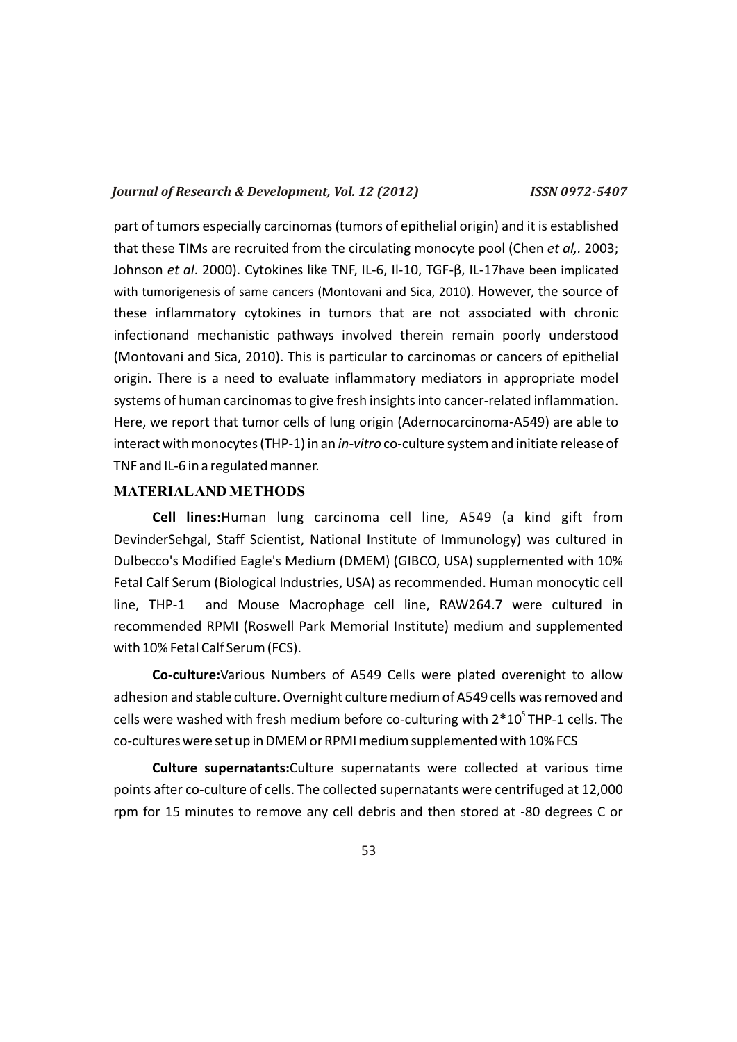part of tumors especially carcinomas (tumors of epithelial origin) and it is established that these TIMs are recruited from the circulating monocyte pool (Chen *et al,.* 2003; Johnson *et al*. 2000). Cytokines like TNF, IL-6, Il-10, TGF-β, IL-17have been implicated with tumorigenesis of same cancers (Montovani and Sica, 2010). However, the source of these inflammatory cytokines in tumors that are not associated with chronic infectionand mechanistic pathways involved therein remain poorly understood (Montovani and Sica, 2010). This is particular to carcinomas or cancers of epithelial origin. There is a need to evaluate inflammatory mediators in appropriate model systems of human carcinomas to give fresh insights into cancer-related inflammation. Here, we report that tumor cells of lung origin (Adernocarcinoma-A549) are able to interact with monocytes (THP-1) in an *in-vitro* co-culture system and initiate release of TNF and IL-6 in a regulated manner.

### **MATERIALAND METHODS**

**Cell lines:**Human lung carcinoma cell line, A549 (a kind gift from DevinderSehgal, Staff Scientist, National Institute of Immunology) was cultured in Dulbecco's Modified Eagle's Medium (DMEM) (GIBCO, USA) supplemented with 10% Fetal Calf Serum (Biological Industries, USA) as recommended. Human monocytic cell line, THP-1 and Mouse Macrophage cell line, RAW264.7 were cultured in recommended RPMI (Roswell Park Memorial Institute) medium and supplemented with 10% Fetal Calf Serum (FCS).

**Co-culture:**Various Numbers of A549 Cells were plated overenight to allow adhesion and stable culture**.** Overnight culture medium of A549 cells was removed and cells were washed with fresh medium before co-culturing with  $2*10$ <sup>S</sup> THP-1 cells. The co-cultures were set up in DMEM or RPMI medium supplemented with 10% FCS

**Culture supernatants:**Culture supernatants were collected at various time points after co-culture of cells. The collected supernatants were centrifuged at 12,000 rpm for 15 minutes to remove any cell debris and then stored at -80 degrees C or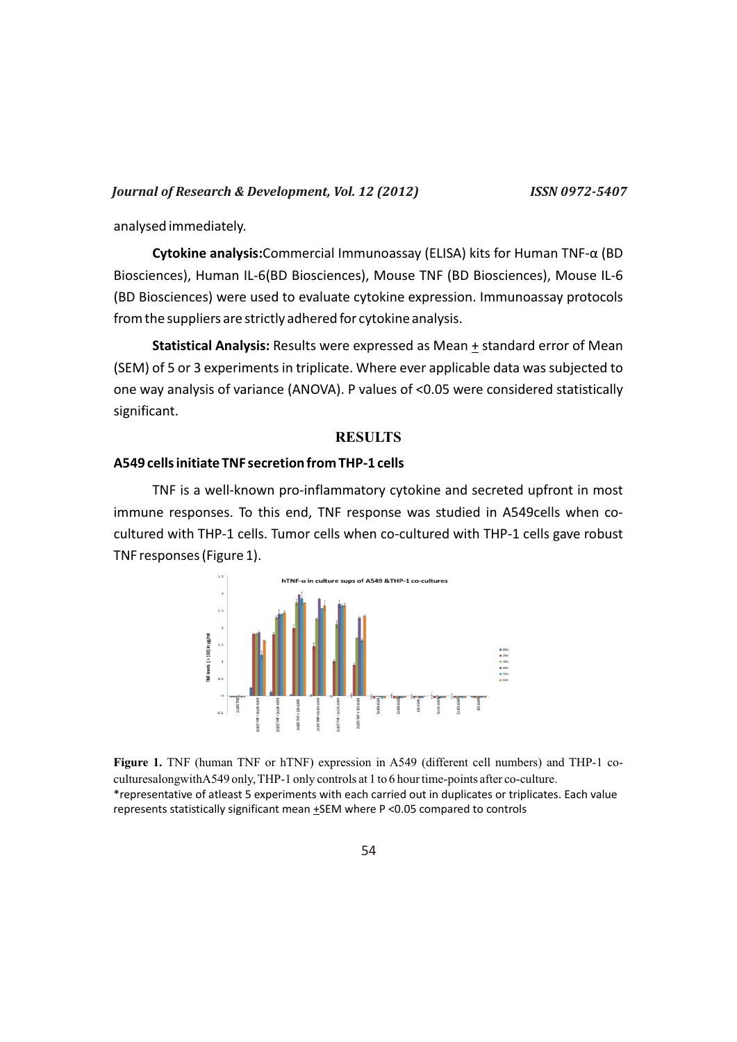analysed immediately.

**Cytokine analysis:**Commercial Immunoassay (ELISA) kits for Human TNF-α (BD Biosciences), Human IL-6(BD Biosciences), Mouse TNF (BD Biosciences), Mouse IL-6 (BD Biosciences) were used to evaluate cytokine expression. Immunoassay protocols from the suppliers are strictly adhered for cytokine analysis.

**Statistical Analysis:** Results were expressed as Mean + standard error of Mean (SEM) of 5 or 3 experiments in triplicate. Where ever applicable data was subjected to one way analysis of variance (ANOVA). P values of <0.05 were considered statistically significant.

### **RESULTS**

### **A549 cells initiate TNF secretion from THP-1 cells**

TNF is a well-known pro-inflammatory cytokine and secreted upfront in most immune responses. To this end, TNF response was studied in A549cells when cocultured with THP-1 cells. Tumor cells when co-cultured with THP-1 cells gave robust TNF responses (Figure 1).



**Figure 1.** TNF (human TNF or hTNF) expression in A549 (different cell numbers) and THP-1 coculturesalongwithA549 only, THP-1 only controls at 1 to 6 hour time-points after co-culture. \*representative of atleast 5 experiments with each carried out in duplicates or triplicates. Each value represents statistically significant mean  $\pm$ SEM where P <0.05 compared to controls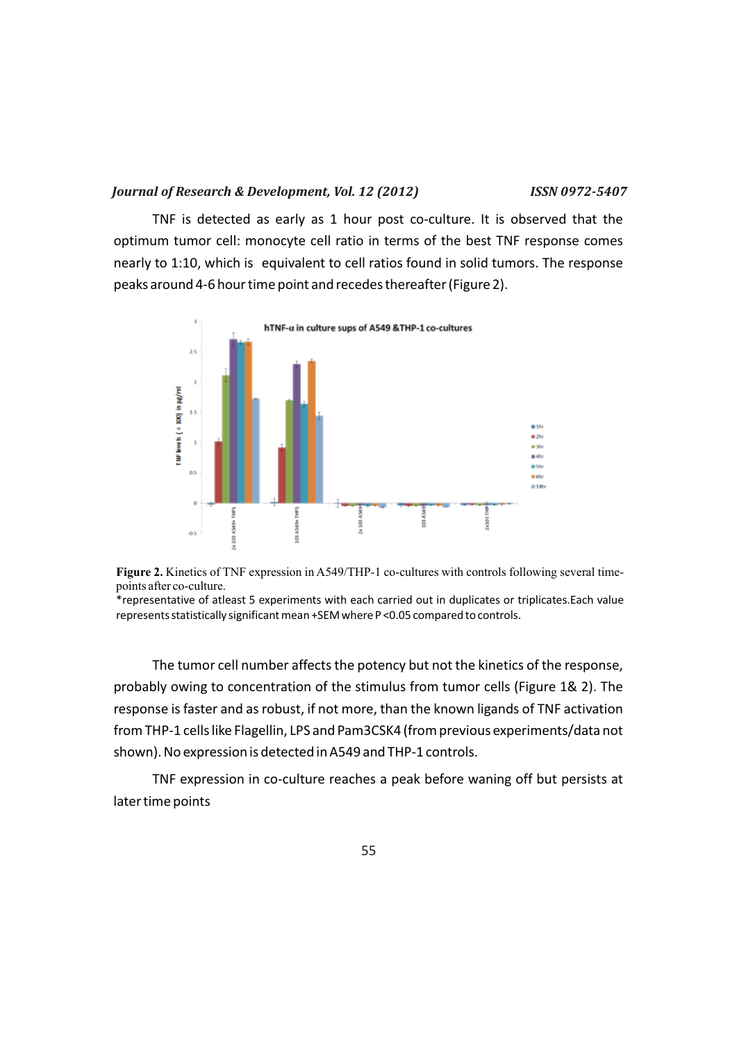TNF is detected as early as 1 hour post co-culture. It is observed that the optimum tumor cell: monocyte cell ratio in terms of the best TNF response comes nearly to 1:10, which is equivalent to cell ratios found in solid tumors. The response peaks around 4-6 hour time point and recedes thereafter (Figure 2).





\*representative of atleast 5 experiments with each carried out in duplicates or triplicates.Each value represents statistically significant mean +SEM where P <0.05 compared to controls.

The tumor cell number affects the potency but not the kinetics of the response, probably owing to concentration of the stimulus from tumor cells (Figure 1& 2). The response is faster and as robust, if not more, than the known ligands of TNF activation from THP-1 cells like Flagellin, LPS and Pam3CSK4 (from previous experiments/data not shown). No expression is detected in A549 and THP-1 controls.

TNF expression in co-culture reaches a peak before waning off but persists at later time points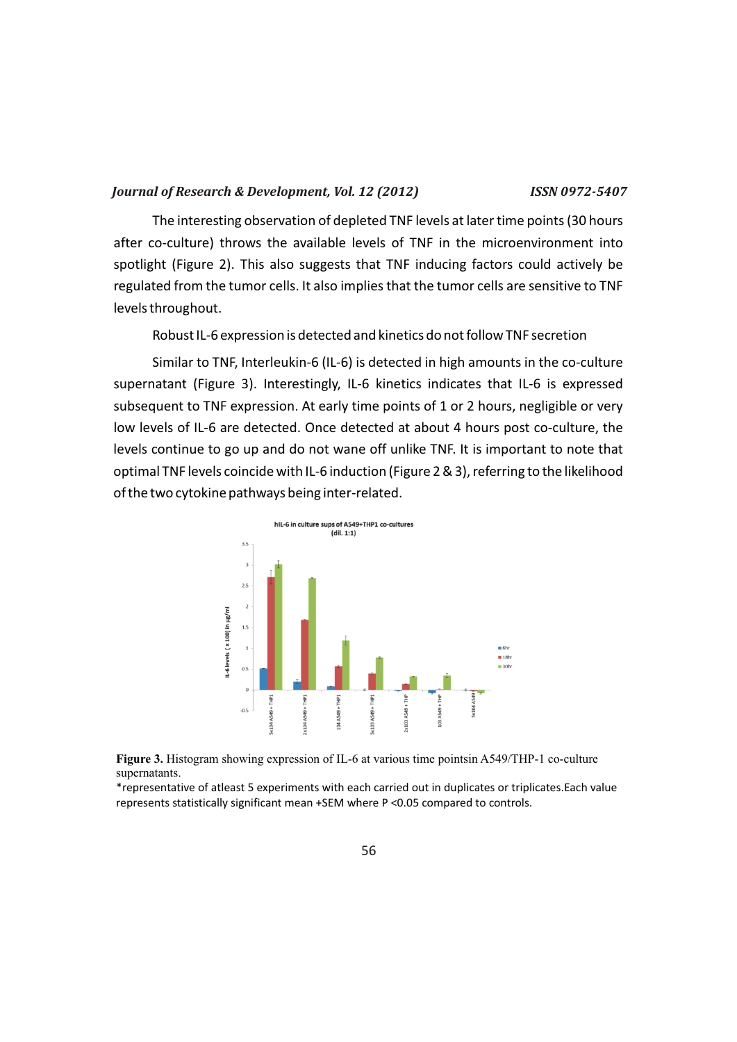The interesting observation of depleted TNF levels at later time points (30 hours after co-culture) throws the available levels of TNF in the microenvironment into spotlight (Figure 2). This also suggests that TNF inducing factors could actively be regulated from the tumor cells. It also implies that the tumor cells are sensitive to TNF levels throughout.

Robust IL-6 expression is detected and kinetics do not follow TNF secretion

Similar to TNF, Interleukin-6 (IL-6) is detected in high amounts in the co-culture supernatant (Figure 3). Interestingly, IL-6 kinetics indicates that IL-6 is expressed subsequent to TNF expression. At early time points of 1 or 2 hours, negligible or very low levels of IL-6 are detected. Once detected at about 4 hours post co-culture, the levels continue to go up and do not wane off unlike TNF. It is important to note that optimal TNF levels coincide with IL-6 induction (Figure 2 & 3), referring to the likelihood of the two cytokine pathways being inter-related.





\*representative of atleast 5 experiments with each carried out in duplicates or triplicates.Each value represents statistically significant mean +SEM where P <0.05 compared to controls.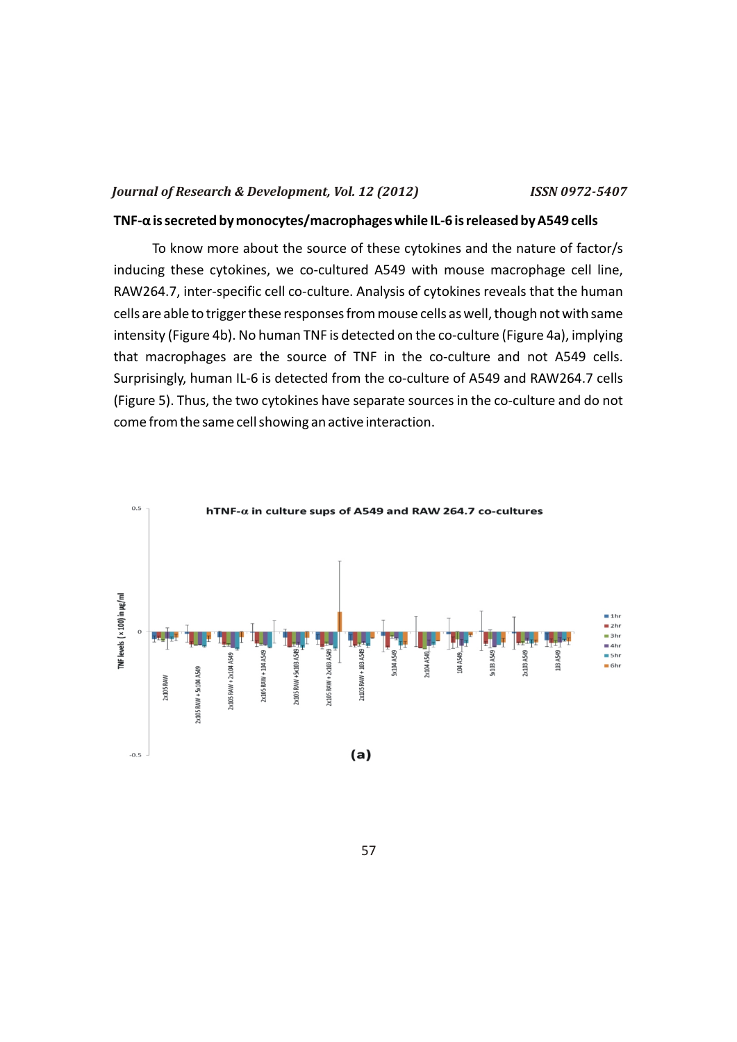### **TNF-α is secreted by monocytes/macrophages while IL-6 is released by A549 cells**

To know more about the source of these cytokines and the nature of factor/s inducing these cytokines, we co-cultured A549 with mouse macrophage cell line, RAW264.7, inter-specific cell co-culture. Analysis of cytokines reveals that the human cells are able to trigger these responses from mouse cells as well, though not with same intensity (Figure 4b). No human TNF is detected on the co-culture (Figure 4a), implying that macrophages are the source of TNF in the co-culture and not A549 cells. Surprisingly, human IL-6 is detected from the co-culture of A549 and RAW264.7 cells (Figure 5). Thus, the two cytokines have separate sources in the co-culture and do not come from the same cell showing an active interaction.

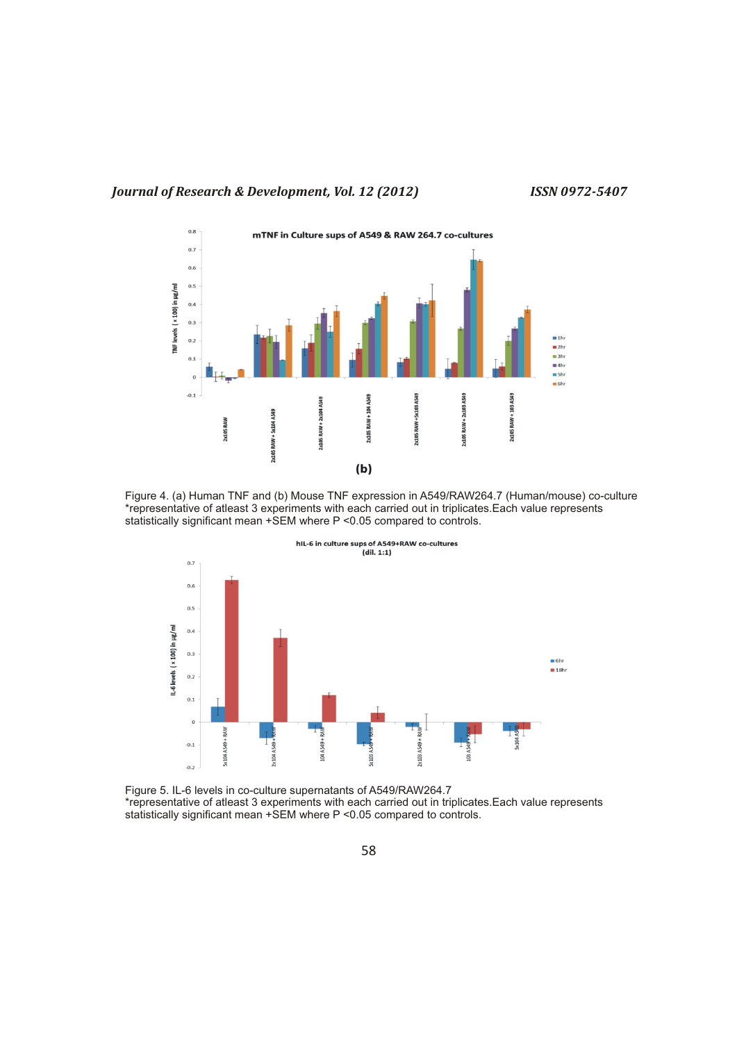

Figure 4. (a) Human TNF and (b) Mouse TNF expression in A549/RAW264.7 (Human/mouse) co-culture \*representative of atleast 3 experiments with each carried out in triplicates.Each value represents statistically significant mean +SEM where P <0.05 compared to controls.



Figure 5. IL-6 levels in co-culture supernatants of A549/RAW264.7 \*representative of atleast 3 experiments with each carried out in triplicates.Each value represents statistically significant mean +SEM where P <0.05 compared to controls.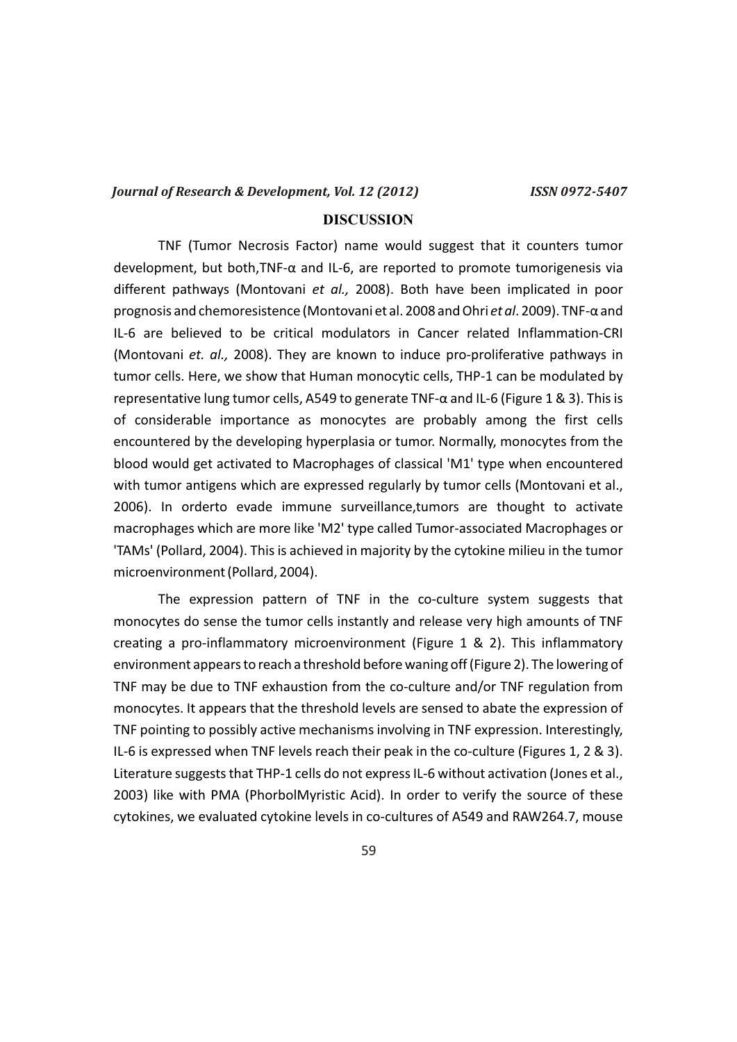### **DISCUSSION**

TNF (Tumor Necrosis Factor) name would suggest that it counters tumor development, but both,TNF-α and IL-6, are reported to promote tumorigenesis via different pathways (Montovani *et al.,* 2008). Both have been implicated in poor prognosis and chemoresistence (Montovani et al. 2008 and Ohri *et al*. 2009). TNF-α and IL-6 are believed to be critical modulators in Cancer related Inflammation-CRI (Montovani *et. al.,* 2008). They are known to induce pro-proliferative pathways in tumor cells. Here, we show that Human monocytic cells, THP-1 can be modulated by representative lung tumor cells, A549 to generate TNF-α and IL-6 (Figure 1 & 3). This is of considerable importance as monocytes are probably among the first cells encountered by the developing hyperplasia or tumor. Normally, monocytes from the blood would get activated to Macrophages of classical 'M1' type when encountered with tumor antigens which are expressed regularly by tumor cells (Montovani et al., 2006). In orderto evade immune surveillance,tumors are thought to activate macrophages which are more like 'M2' type called Tumor-associated Macrophages or 'TAMs' (Pollard, 2004). This is achieved in majority by the cytokine milieu in the tumor microenvironment (Pollard, 2004).

The expression pattern of TNF in the co-culture system suggests that monocytes do sense the tumor cells instantly and release very high amounts of TNF creating a pro-inflammatory microenvironment (Figure 1 & 2). This inflammatory environment appears to reach a threshold before waning off (Figure 2). The lowering of TNF may be due to TNF exhaustion from the co-culture and/or TNF regulation from monocytes. It appears that the threshold levels are sensed to abate the expression of TNF pointing to possibly active mechanisms involving in TNF expression. Interestingly, IL-6 is expressed when TNF levels reach their peak in the co-culture (Figures 1, 2 & 3). Literature suggests that THP-1 cells do not express IL-6 without activation (Jones et al., 2003) like with PMA (PhorbolMyristic Acid). In order to verify the source of these cytokines, we evaluated cytokine levels in co-cultures of A549 and RAW264.7, mouse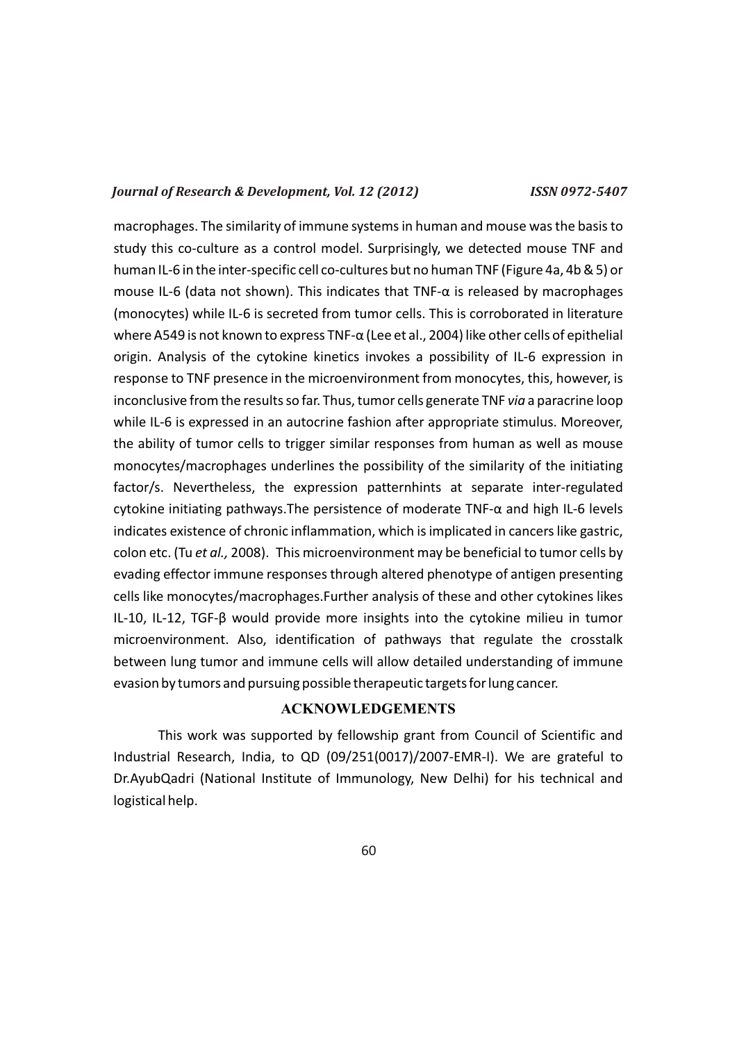macrophages. The similarity of immune systems in human and mouse was the basis to study this co-culture as a control model. Surprisingly, we detected mouse TNF and human IL-6 in the inter-specific cell co-cultures but no human TNF (Figure 4a, 4b & 5) or mouse IL-6 (data not shown). This indicates that  $TNF-\alpha$  is released by macrophages (monocytes) while IL-6 is secreted from tumor cells. This is corroborated in literature where A549 is not known to express TNF-α (Lee et al., 2004) like other cells of epithelial origin. Analysis of the cytokine kinetics invokes a possibility of IL-6 expression in response to TNF presence in the microenvironment from monocytes, this, however, is inconclusive from the results so far. Thus, tumor cells generate TNF *via* a paracrine loop while IL-6 is expressed in an autocrine fashion after appropriate stimulus. Moreover, the ability of tumor cells to trigger similar responses from human as well as mouse monocytes/macrophages underlines the possibility of the similarity of the initiating factor/s. Nevertheless, the expression patternhints at separate inter-regulated cytokine initiating pathways.The persistence of moderate TNF-α and high IL-6 levels indicates existence of chronic inflammation, which is implicated in cancers like gastric, colon etc. (Tu *et al.,* 2008). This microenvironment may be beneficial to tumor cells by evading effector immune responses through altered phenotype of antigen presenting cells like monocytes/macrophages.Further analysis of these and other cytokines likes IL-10, IL-12, TGF-β would provide more insights into the cytokine milieu in tumor microenvironment. Also, identification of pathways that regulate the crosstalk between lung tumor and immune cells will allow detailed understanding of immune evasion by tumors and pursuing possible therapeutic targets for lung cancer.

### **ACKNOWLEDGEMENTS**

This work was supported by fellowship grant from Council of Scientific and Industrial Research, India, to QD (09/251(0017)/2007-EMR-I). We are grateful to Dr.AyubQadri (National Institute of Immunology, New Delhi) for his technical and logistical help.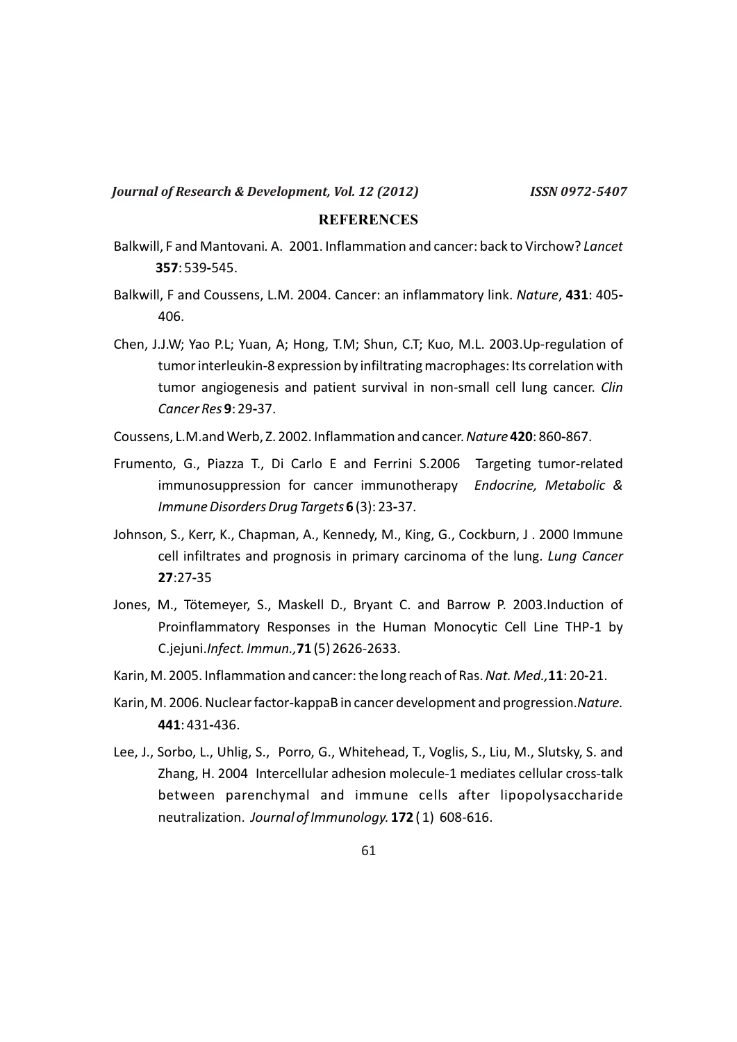### **REFERENCES**

- Balkwill, F and Mantovani*.* A. 2001. Inflammation and cancer: back to Virchow? *Lancet*  **357**: 539**-**545.
- Balkwill, F and Coussens, L.M. 2004. Cancer: an inflammatory link. *Nature*, **431**: 405**-** 406.
- Chen, J.J.W; Yao P.L; Yuan, A; Hong, T.M; Shun, C.T; Kuo, M.L. 2003.Up-regulation of tumor interleukin-8 expression by infiltrating macrophages: Its correlation with tumor angiogenesis and patient survival in non-small cell lung cancer. *Clin Cancer Res* **9**: 29**-**37.
- Coussens, L.M.and Werb, Z. 2002. Inflammation and cancer. *Nature* **420**: 860**-**867.
- Frumento, G., Piazza T., Di Carlo E and Ferrini S.2006 Targeting tumor-related immunosuppression for cancer immunotherapy *Endocrine, Metabolic & Immune Disorders Drug Targets* **6** (3): 23**-**37.
- Johnson, S., Kerr, K., Chapman, A., Kennedy, M., King, G., Cockburn, J . 2000 Immune cell infiltrates and prognosis in primary carcinoma of the lung. *Lung Cancer*  **27**:27**-**35
- Jones, M., Tötemeyer, S., Maskell D., Bryant C. and Barrow P. 2003.Induction of Proinflammatory Responses in the Human Monocytic Cell Line THP-1 by C.jejuni.*Infect. Immun.,***71** (5) 2626-2633.
- Karin, M. 2005. Inflammation and cancer: the long reach of Ras. *Nat. Med.,***11**: 20**-**21.
- Karin, M. 2006. Nuclear factor-kappaB in cancer development and progression.*Nature.*  **441**: 431**-**436.
- Lee, J., Sorbo, L., Uhlig, S., Porro, G., Whitehead, T., Voglis, S., Liu, M., Slutsky, S. and Zhang, H. 2004 Intercellular adhesion molecule-1 mediates cellular cross-talk between parenchymal and immune cells after lipopolysaccharide neutralization. *Journal of Immunology.* **172** ( 1) 608-616.